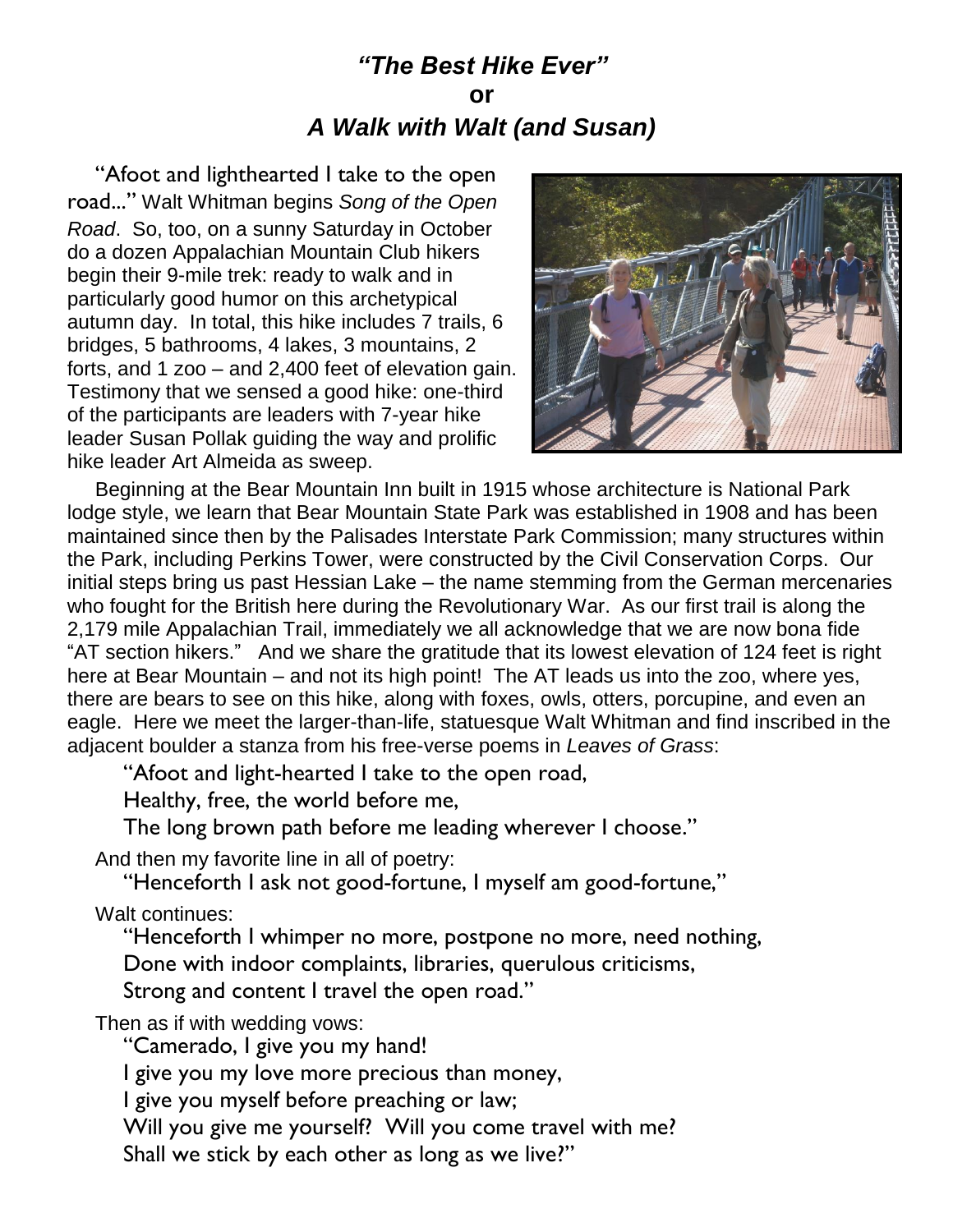## *"The Best Hike Ever"* **or** *A Walk with Walt (and Susan)*

"Afoot and lighthearted I take to the open road..." Walt Whitman begins *Song of the Open Road*. So, too, on a sunny Saturday in October do a dozen Appalachian Mountain Club hikers begin their 9-mile trek: ready to walk and in particularly good humor on this archetypical autumn day. In total, this hike includes 7 trails, 6 bridges, 5 bathrooms, 4 lakes, 3 mountains, 2 forts, and 1 zoo – and 2,400 feet of elevation gain. Testimony that we sensed a good hike: one-third of the participants are leaders with 7-year hike leader Susan Pollak guiding the way and prolific hike leader Art Almeida as sweep.



Beginning at the Bear Mountain Inn built in 1915 whose architecture is National Park lodge style, we learn that Bear Mountain State Park was established in 1908 and has been maintained since then by the Palisades Interstate Park Commission; many structures within the Park, including Perkins Tower, were constructed by the Civil Conservation Corps. Our initial steps bring us past Hessian Lake – the name stemming from the German mercenaries who fought for the British here during the Revolutionary War. As our first trail is along the 2,179 mile Appalachian Trail, immediately we all acknowledge that we are now bona fide "AT section hikers." And we share the gratitude that its lowest elevation of 124 feet is right here at Bear Mountain – and not its high point! The AT leads us into the zoo, where yes, there are bears to see on this hike, along with foxes, owls, otters, porcupine, and even an eagle. Here we meet the larger-than-life, statuesque Walt Whitman and find inscribed in the adjacent boulder a stanza from his free-verse poems in *Leaves of Grass*:

"Afoot and light-hearted I take to the open road,

Healthy, free, the world before me,

The long brown path before me leading wherever I choose."

And then my favorite line in all of poetry:

"Henceforth I ask not good-fortune, I myself am good-fortune,"

Walt continues:

"Henceforth I whimper no more, postpone no more, need nothing,

Done with indoor complaints, libraries, querulous criticisms,

Strong and content I travel the open road."

Then as if with wedding vows:

"Camerado, I give you my hand!

I give you my love more precious than money,

I give you myself before preaching or law;

Will you give me yourself? Will you come travel with me?

Shall we stick by each other as long as we live?"